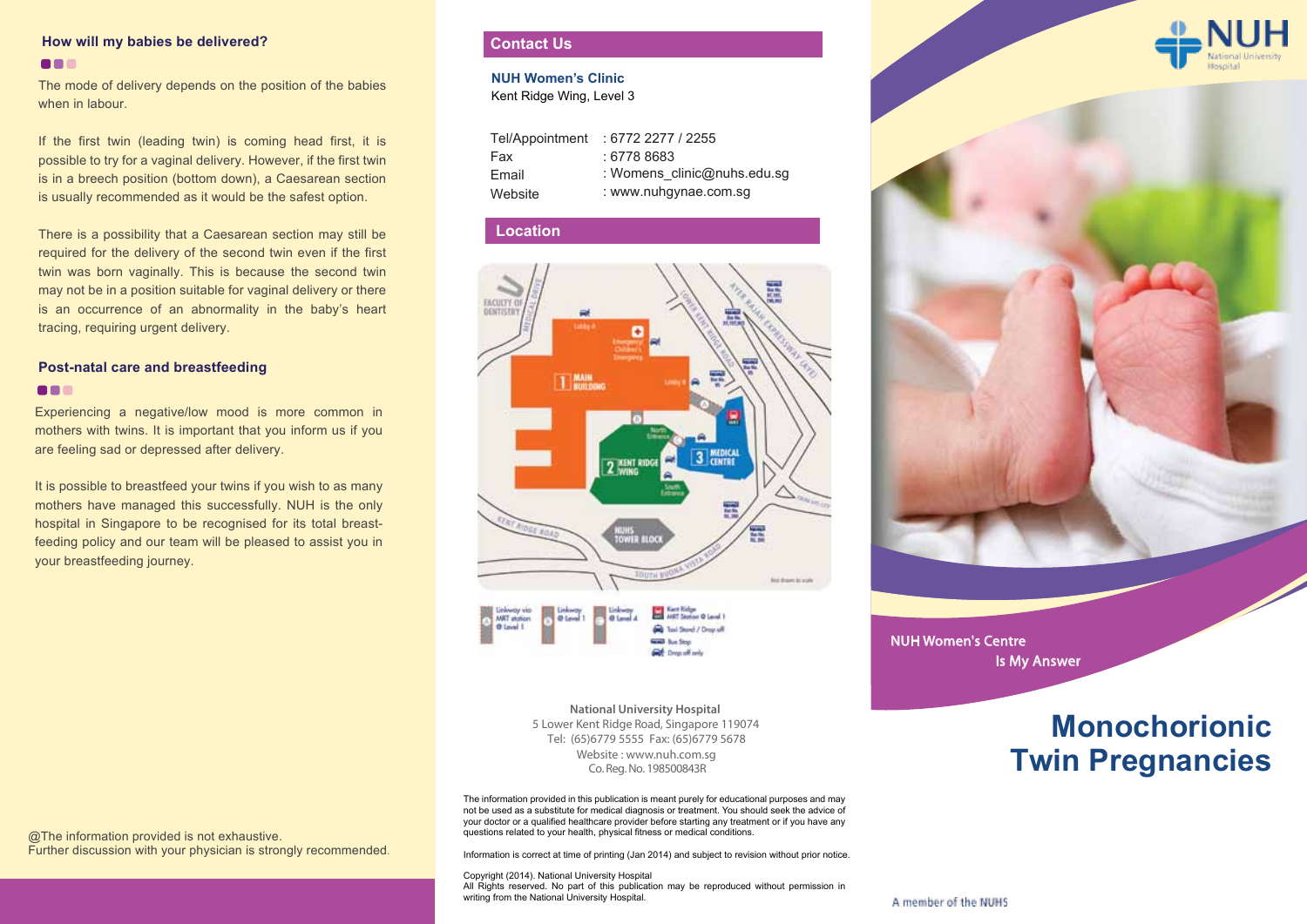### **How will my babies be delivered?**

#### **BRB**

The mode of delivery depends on the position of the babies when in labour.

If the first twin (leading twin) is coming head first, it is possible to try for a vaginal delivery. However, if the first twin is in a breech position (bottom down), a Caesarean section is usually recommended as it would be the safest option.

There is a possibility that a Caesarean section may still be required for the delivery of the second twin even if the first twin was born vaginally. This is because the second twin may not be in a position suitable for vaginal delivery or there is an occurrence of an abnormality in the baby's heart tracing, requiring urgent delivery.

## **Post-natal care and breastfeeding**

#### **BBB**

Experiencing a negative/low mood is more common in mothers with twins. It is important that you inform us if you are feeling sad or depressed after delivery.

It is possible to breastfeed your twins if you wish to as many mothers have managed this successfully. NUH is the only hospital in Singapore to be recognised for its total breastfeeding policy and our team will be pleased to assist you in your breastfeeding journey.

## **Contact Us**

**NUH Women's Clinic** Kent Ridge Wing, Level 3

| Tel/Appointment | : 6772 2277 / 2255          |
|-----------------|-----------------------------|
| Fax             | : 6778 8683                 |
| Email           | : Womens_clinic@nuhs.edu.sg |
| Website         | : www.nuhqynae.com.sq       |

## **Location**





Co. Reg. No. 198500843R **National University Hospital**  5 Lower Kent Ridge Road, Singapore 119074 Website : www.nuh.com.sg Tel: (65)6779 5555 Fax: (65)6779 5678

The information provided in this publication is meant purely for educational purposes and may not be used as a substitute for medical diagnosis or treatment. You should seek the advice of your doctor or a qualified healthcare provider before starting any treatment or if you have any questions related to your health, physical fitness or medical conditions.

Information is correct at time of printing (Jan 2014) and subject to revision without prior notice.

#### Copyright (2014). National University Hospital All Rights reserved. No part of this publication may be reproduced without permission in writing from the National University Hospital.



NUH Women's Centre Is My Answer

# **Monochorionic Twin Pregnancies**

@The information provided is not exhaustive. Further discussion with your physician is strongly recommended.

A member of the NUHS